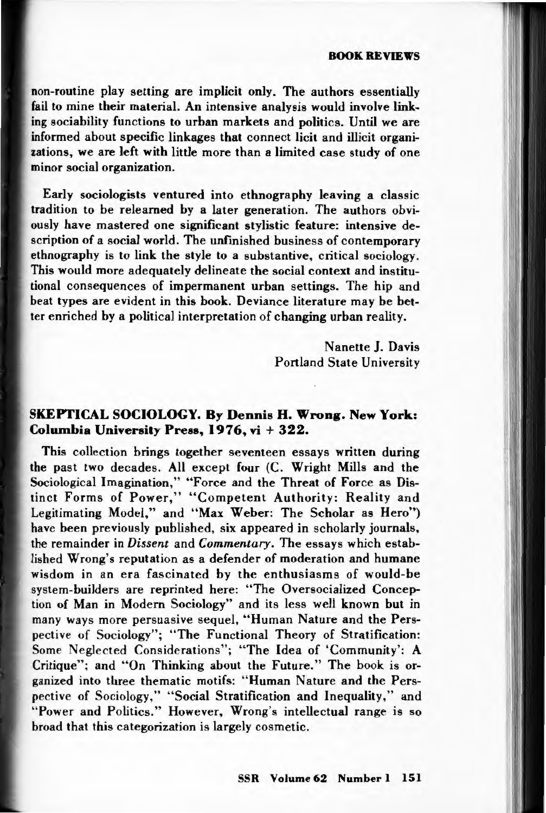## BOOK REVIEWS

non-routine play setting are implicit only. The authors essentially fail to mine their material. An intensive analysis would involve linking sociability functions to urban markets and politics. Until we are informed about specific linkages that connect licit and illicit organizations, we are left with little more than a limited case study of one minor social organization.

Early sociologists ventured into ethnography leaving a classic tradition to be relearned by a later generation. The authors obviously have mastered one significant stylistic feature: intensive description of a social world. The unfinished business of contemporary ethnography is to link the style to a substantive, critical sociology. This would more adequately delineate the social context and institutional consequences of impermanent urban settings. The hip and beat types are evident in this book. Deviance literature may be better enriched by a political interpretation of changing urban reality.

> Nanette J. Davis Portland State University

## SKEPTICAL SOCIOLOGY. By Dennis H. Wrong. New York: Columbia University Press, 1976, vi + 322.

This collection brings together seventeen essays written during the past two decades. All except four (C. Wright Mills and the Sociological Imagination," "Force and the Threat of Force as Distinct Forms of Power," "Competent Authority: Reality and Legitimating Model," and "Max Weber: The Scholar as Hero") have been previously published, six appeared in scholarly journals, the remainder in *Dissent* and *Commentary*. The essays which established Wrong's reputation as a defender of moderation and humane wisdom in an era fascinated by the enthusiasms of would-be system-builders are reprinted here: "The Oversocialized Conception of Man in Modern Sociology" and its less well known but in many ways more persuasive sequel, "Human Nature and the Perspective of Sociology"; "The Functional Theory of Stratification: Some Neglected Considerations"; "The Idea of 'Community': A Critique"; and "On Thinking about the Future." The book is organized into three thematic motifs: " Human Nature and the Perspective of Sociology," "Social Stratification and Inequality," and "Power and Politics." However, Wrong's intellectual range is so broad that this categorization is largely cosmetic.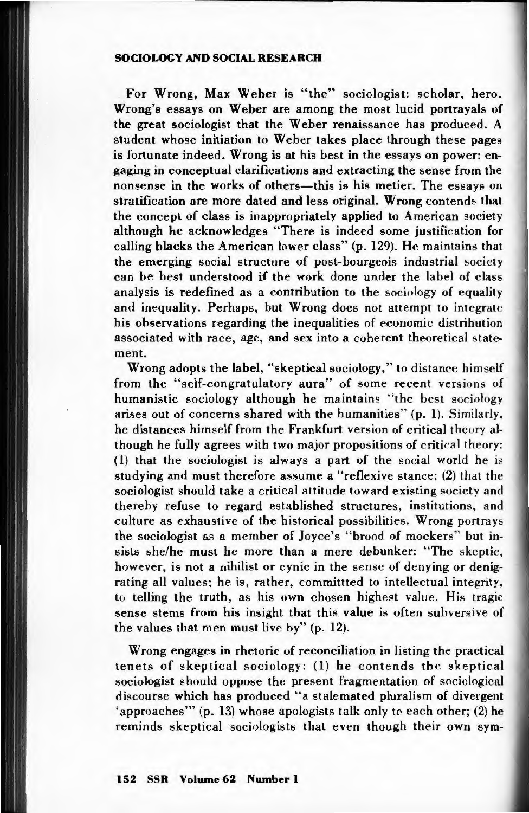## SOCIOLOGY AND SOCIAL RESEARCH

For Wrong, Max Weber is "the" sociologist: scholar, hero. Wrong's essays on Weber are among the most lucid portrayals of the great sociologist that the Weber renaissance has produced. A student whose initiation to Weber takes place through these pages is fortunate indeed. Wrong is at his best in the essays on power: engaging in conceptual clarifications and extracting the sense from the nonsense in the works of others-this is his metier. The essays on stratification are more dated and less original. Wrong contends that the concept of class is inappropriately applied to American society although he acknowledges "There is indeed some justification for calling blacks the American lower class" (p. 129). He maintains that the emerging social structure of post-bourgeois industrial society can be best understood if the work done under the label of class analysis is redefined as a contribution to the sociology of equality and inequality. Perhaps, but Wrong does not attempt to integrate his observations regarding the inequalities of economic distribution associated with race, age, and sex into a coherent theoretical statement.

Wrong adopts the label, "skeptical sociology," to distance himself from the "self-congratulatory aura" of some recent versions of humanistic sociology although he maintains "the best sociology arises out of concerns shared with the humanities" (p. 1). Similarly, he distances himself from the Frankfurt version of critical theory although he fully agrees with two major propositions of critical theory: (1) that the sociologist is always a part of the social world he is studying and must therefore assume a " reflexive stance; (2) that the sociologist should take a critical attitude toward existing society and the reby refuse to regard established structures, institutions, and culture as exhaustive of the historical possibilities. Wrong portrays the sociologist as a member of Joyce's "brood of mockers" but insists she/he must he more than a mere debunker: "The skeptic, however, is not a nihilist or cynic in the sense of denying or denigrating all values; he is, rather, committed to intellectual integrity, to telling the truth, as his own chosen highest value. His tragic sense stems from his insight that this value is often subversive of the values that men must live by" (p. 12).

Wrong engages in rhetoric of reconciliation in listing the practical tenets of skeptical sociology: (1) he contends the skeptical sociologist should oppose the present fragmentation of sociological discourse which has produced "a stalemated pluralism of divergent ' approaches"' (p. 13) whose apologists talk only to each other; (2) he reminds skeptical sociologists that even though their own sym-

152 SSR Volume 62 Number 1